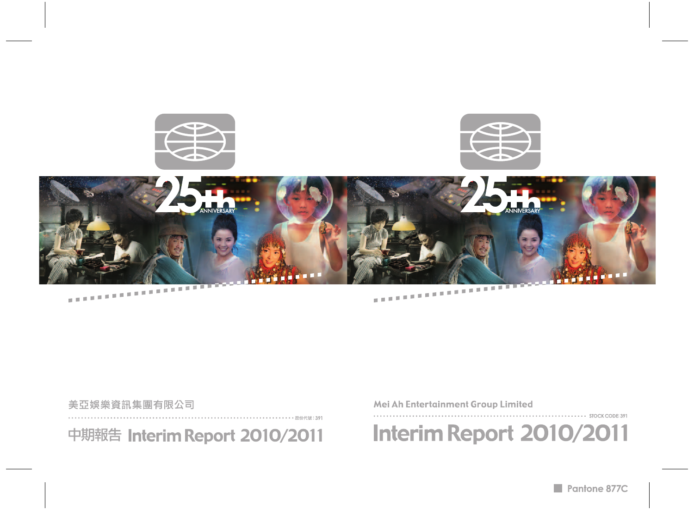

# Mei Ah Entertainment Group Limited

Interim Report 2010/2011

- STOCK CODE: 391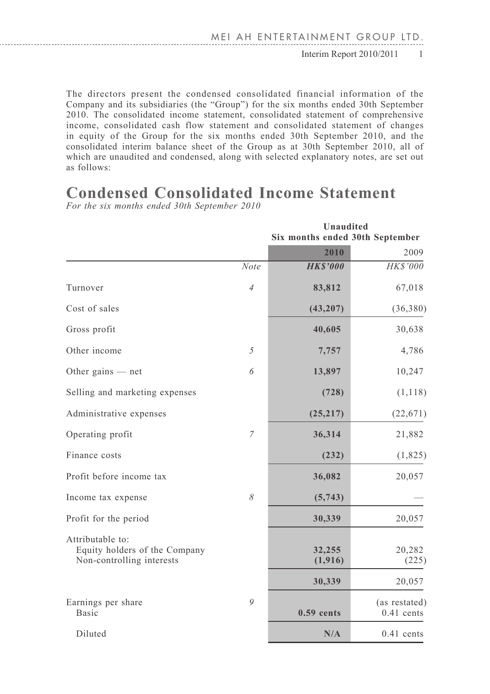The directors present the condensed consolidated financial information of the Company and its subsidiaries (the "Group") for the six months ended 30th September 2010. The consolidated income statement, consolidated statement of comprehensive income, consolidated cash flow statement and consolidated statement of changes in equity of the Group for the six months ended 30th September 2010, and the consolidated interim balance sheet of the Group as at 30th September 2010, all of which are unaudited and condensed, along with selected explanatory notes, are set out as follows:

# **Condensed Consolidated Income Statement**

*For the six months ended 30th September 2010*

|                                                                                |                | <b>Unaudited</b><br>Six months ended 30th September |                               |
|--------------------------------------------------------------------------------|----------------|-----------------------------------------------------|-------------------------------|
|                                                                                |                | 2010                                                | 2009                          |
|                                                                                | <b>Note</b>    | <b>HKS'000</b>                                      | HK\$'000                      |
| Turnover                                                                       | $\overline{4}$ | 83,812                                              | 67,018                        |
| Cost of sales                                                                  |                | (43, 207)                                           | (36, 380)                     |
| Gross profit                                                                   |                | 40,605                                              | 30,638                        |
| Other income                                                                   | 5              | 7,757                                               | 4,786                         |
| Other gains $-$ net                                                            | 6              | 13,897                                              | 10,247                        |
| Selling and marketing expenses                                                 |                | (728)                                               | (1, 118)                      |
| Administrative expenses                                                        |                | (25, 217)                                           | (22, 671)                     |
| Operating profit                                                               | $\overline{7}$ | 36,314                                              | 21,882                        |
| Finance costs                                                                  |                | (232)                                               | (1,825)                       |
| Profit before income tax                                                       |                | 36,082                                              | 20,057                        |
| Income tax expense                                                             | 8              | (5,743)                                             |                               |
| Profit for the period                                                          |                | 30,339                                              | 20,057                        |
| Attributable to:<br>Equity holders of the Company<br>Non-controlling interests |                | 32,255<br>(1, 916)                                  | 20,282<br>(225)               |
|                                                                                |                | 30,339                                              | 20,057                        |
| Earnings per share<br>Basic                                                    | 9              | $0.59$ cents                                        | (as restated)<br>$0.41$ cents |
| Diluted                                                                        |                | N/A                                                 | $0.41$ cents                  |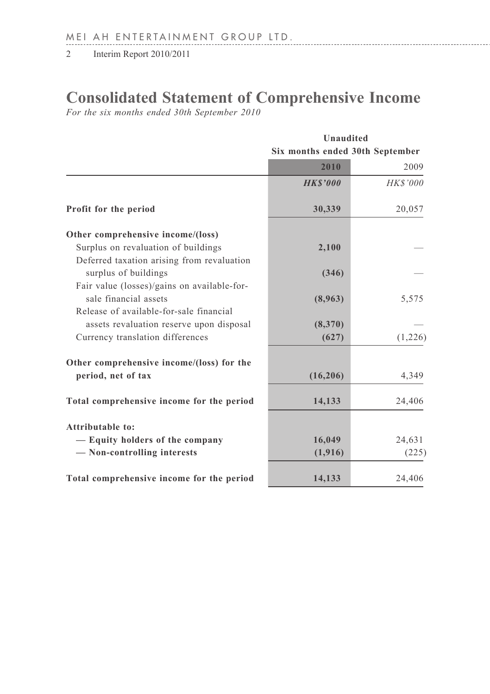# **Consolidated Statement of Comprehensive Income**

*For the six months ended 30th September 2010*

|                                                                  | Unaudited                       |          |  |  |
|------------------------------------------------------------------|---------------------------------|----------|--|--|
|                                                                  | Six months ended 30th September |          |  |  |
|                                                                  | 2010                            | 2009     |  |  |
|                                                                  | <b>HKS'000</b>                  | HK\$'000 |  |  |
| Profit for the period                                            | 30,339                          | 20,057   |  |  |
| Other comprehensive income/(loss)                                |                                 |          |  |  |
| Surplus on revaluation of buildings                              | 2,100                           |          |  |  |
| Deferred taxation arising from revaluation                       |                                 |          |  |  |
| surplus of buildings                                             | (346)                           |          |  |  |
| Fair value (losses)/gains on available-for-                      |                                 |          |  |  |
| sale financial assets<br>Release of available-for-sale financial | (8,963)                         | 5,575    |  |  |
| assets revaluation reserve upon disposal                         | (8,370)                         |          |  |  |
| Currency translation differences                                 | (627)                           | (1,226)  |  |  |
| Other comprehensive income/(loss) for the                        |                                 |          |  |  |
| period, net of tax                                               | (16,206)                        | 4,349    |  |  |
| Total comprehensive income for the period                        | 14,133                          | 24,406   |  |  |
| Attributable to:                                                 |                                 |          |  |  |
| - Equity holders of the company                                  | 16,049                          | 24,631   |  |  |
| - Non-controlling interests                                      | (1,916)                         | (225)    |  |  |
| Total comprehensive income for the period                        | 14,133                          | 24,406   |  |  |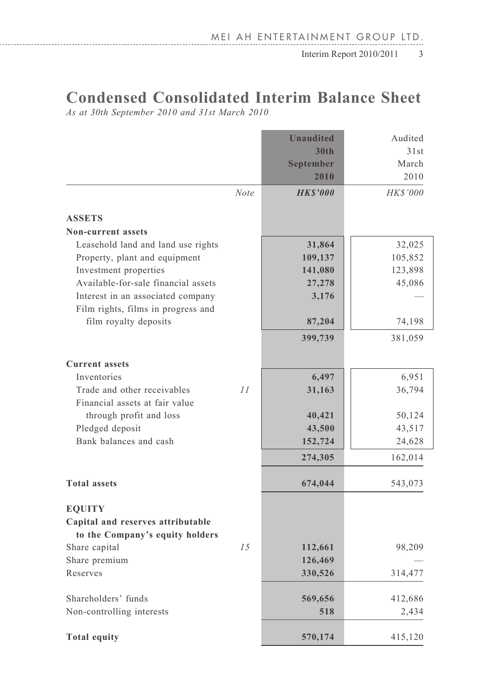# **Condensed Consolidated Interim Balance Sheet**

*As at 30th September 2010 and 31st March 2010*

. . . . . . . . . . . . . . . . . . . .

|                                     |             | <b>Unaudited</b> | Audited  |
|-------------------------------------|-------------|------------------|----------|
|                                     |             | 30th             | 31st     |
|                                     |             | <b>September</b> | March    |
|                                     |             | 2010             | 2010     |
|                                     | <b>Note</b> | <b>HKS'000</b>   | HK\$'000 |
| <b>ASSETS</b>                       |             |                  |          |
| <b>Non-current assets</b>           |             |                  |          |
| Leasehold land and land use rights  |             | 31,864           | 32,025   |
| Property, plant and equipment       |             | 109,137          | 105,852  |
| Investment properties               |             | 141,080          | 123,898  |
| Available-for-sale financial assets |             | 27,278           | 45,086   |
| Interest in an associated company   |             | 3,176            |          |
| Film rights, films in progress and  |             |                  |          |
| film royalty deposits               |             | 87,204           | 74,198   |
|                                     |             | 399,739          | 381,059  |
| <b>Current</b> assets               |             |                  |          |
| Inventories                         |             | 6,497            | 6,951    |
| Trade and other receivables         | 11          | 31,163           | 36,794   |
| Financial assets at fair value      |             |                  |          |
| through profit and loss             |             | 40,421           | 50,124   |
| Pledged deposit                     |             | 43,500           | 43,517   |
| Bank balances and cash              |             | 152,724          | 24,628   |
|                                     |             | 274,305          | 162,014  |
|                                     |             |                  |          |
| <b>Total assets</b>                 |             | 674,044          | 543,073  |
| <b>EOUITY</b>                       |             |                  |          |
| Capital and reserves attributable   |             |                  |          |
| to the Company's equity holders     |             |                  |          |
| Share capital                       | 15          | 112,661          | 98,209   |
| Share premium                       |             | 126,469          |          |
| Reserves                            |             | 330,526          | 314,477  |
| Shareholders' funds                 |             | 569,656          | 412,686  |
| Non-controlling interests           |             | 518              | 2,434    |
| <b>Total equity</b>                 |             | 570,174          | 415,120  |
|                                     |             |                  |          |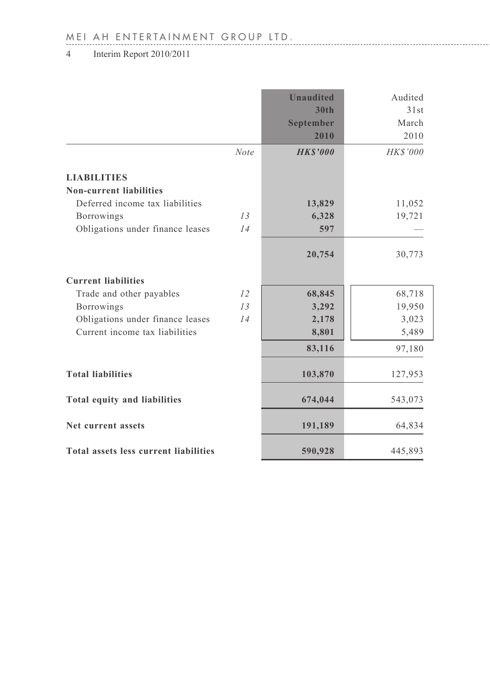# MEI AH ENTERTAINMENT GROUP LTD.

4 Interim Report 2010/2011

|                                                      |             | <b>Unaudited</b><br>30 <sub>th</sub><br>September<br>2010 | Audited<br>31st<br>March<br>2010 |
|------------------------------------------------------|-------------|-----------------------------------------------------------|----------------------------------|
|                                                      | <b>Note</b> | <b>HKS'000</b>                                            | HK\$'000                         |
| <b>LIABILITIES</b><br><b>Non-current liabilities</b> |             |                                                           |                                  |
| Deferred income tax liabilities                      |             | 13,829                                                    | 11,052                           |
| Borrowings                                           | 13          | 6,328                                                     | 19,721                           |
| Obligations under finance leases                     | 14          | 597                                                       |                                  |
|                                                      |             | 20,754                                                    | 30,773                           |
| <b>Current liabilities</b>                           |             |                                                           |                                  |
| Trade and other payables                             | 12          | 68,845                                                    | 68,718                           |
| Borrowings                                           | 13          | 3,292                                                     | 19,950                           |
| Obligations under finance leases                     | 14          | 2,178                                                     | 3,023                            |
| Current income tax liabilities                       |             | 8,801                                                     | 5,489                            |
|                                                      |             | 83,116                                                    | 97,180                           |
| <b>Total liabilities</b>                             |             | 103,870                                                   | 127,953                          |
| Total equity and liabilities                         |             | 674,044                                                   | 543,073                          |
| Net current assets                                   |             | 191,189                                                   | 64,834                           |
| Total assets less current liabilities                |             | 590,928                                                   | 445,893                          |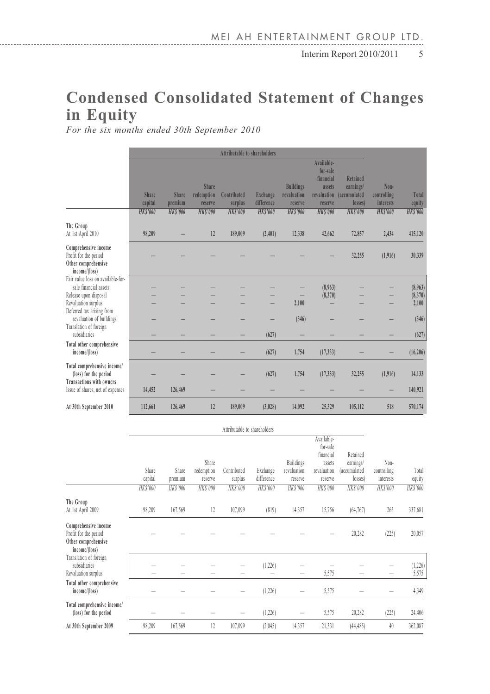# **Condensed Consolidated Statement of Changes in Equity**

*For the six months ended 30th September 2010*

|                                                                                       |                  |                  |                                |                        | Attributable to shareholders  |                                            |                                                                         |                                                  |                                  |                    |
|---------------------------------------------------------------------------------------|------------------|------------------|--------------------------------|------------------------|-------------------------------|--------------------------------------------|-------------------------------------------------------------------------|--------------------------------------------------|----------------------------------|--------------------|
|                                                                                       | Share<br>capital | Share<br>premium | Share<br>redemption<br>reserve | Contributed<br>surplus | <b>Exchange</b><br>difference | <b>Buildings</b><br>revaluation<br>reserve | Available-<br>for-sale<br>financial<br>assets<br>revaluation<br>reserve | Retained<br>earnings/<br>(accumulated<br>losses) | Non-<br>controlling<br>interests | Total<br>equity    |
|                                                                                       | <b>HKS'000</b>   | HKS'000          | <b>HKS'000</b>                 | <b>HKS'000</b>         | <b>HKS'000</b>                | <b>HKS'000</b>                             | <b>HKS'000</b>                                                          | <b>HKS'000</b>                                   | <b>HKS'000</b>                   | <b>HKS'000</b>     |
| The Group<br>At 1st April 2010                                                        | 98,209           |                  | 12                             | 189,009                | (2,401)                       | 12,338                                     | 42,662                                                                  | 72,857                                           | 2,434                            | 415,120            |
| Comprehensive income<br>Profit for the period<br>Other comprehensive<br>income/(loss) |                  |                  |                                |                        |                               |                                            |                                                                         | 32,255                                           | (1,916)                          | 30,339             |
| Fair value loss on available-for-<br>sale financial assets<br>Release upon disposal   |                  |                  |                                |                        |                               |                                            | (8.963)<br>(8,370)                                                      |                                                  |                                  | (8,963)<br>(8,370) |
| Revaluation surplus<br>Deferred tax arising from<br>revaluation of buildings          |                  |                  |                                |                        |                               | 2,100<br>(346)                             |                                                                         |                                                  |                                  | 2,100<br>(346)     |
| Translation of foreign<br>subsidiaries                                                |                  |                  |                                |                        | (627)                         |                                            |                                                                         |                                                  |                                  | (627)              |
| Total other comprehensive<br>income/(loss)                                            |                  |                  |                                |                        | (627)                         | 1,754                                      | (17, 333)                                                               |                                                  |                                  | (16, 206)          |
| Total comprehensive income/<br>(loss) for the period                                  |                  |                  |                                |                        | (627)                         | 1,754                                      | (17, 333)                                                               | 32,255                                           | (1,916)                          | 14,133             |
| <b>Transactions with owners</b><br>Issue of shares, net of expenses                   | 14,452           | 126,469          |                                |                        |                               |                                            |                                                                         |                                                  | -                                | 140,921            |
| At 30th September 2010                                                                | 112,661          | 126,469          | 12                             | 189,009                | (3,028)                       | 14,092                                     | 25,329                                                                  | 105,112                                          | 518                              | 570,174            |

|                                                                                       |                  |                  |                                | Attributable to shareholders |                        |                                            |                                                                         |                                                  |                                  |                   |
|---------------------------------------------------------------------------------------|------------------|------------------|--------------------------------|------------------------------|------------------------|--------------------------------------------|-------------------------------------------------------------------------|--------------------------------------------------|----------------------------------|-------------------|
|                                                                                       | Share<br>capital | Share<br>premium | Share<br>redemption<br>reserve | Contributed<br>surplus       | Exchange<br>difference | <b>Buildings</b><br>revaluation<br>reserve | Available-<br>for-sale<br>financial<br>assets<br>revaluation<br>reserve | Retained<br>earnings/<br>(accumulated<br>losses) | Non-<br>controlling<br>interests | Total<br>equity   |
|                                                                                       | HK\$'000         | HK\$'000         | HK\$'000                       | HKS'000                      | HK\$'000               | HKS'000                                    | <b>HKS'000</b>                                                          | HK\$'000                                         | HK\$'000                         | <b>HK\$'000</b>   |
| The Group<br>At 1st April 2009                                                        | 98,209           | 167,569          | 12                             | 107,099                      | (819)                  | 14,357                                     | 15,756                                                                  | (64, 767)                                        | 265                              | 337,681           |
| Comprehensive income<br>Profit for the period<br>Other comprehensive<br>income/(loss) |                  |                  |                                |                              |                        |                                            |                                                                         | 20,282                                           | (225)                            | 20,057            |
| Translation of foreign<br>subsidiaries<br>Revaluation surplus                         |                  |                  |                                |                              | (1, 226)               | -                                          | 5,575                                                                   |                                                  |                                  | (1, 226)<br>5,575 |
| Total other comprehensive<br>income/(loss)                                            |                  |                  |                                |                              | (1, 226)               |                                            | 5,575                                                                   |                                                  |                                  | 4,349             |
| Total comprehensive income/<br>(loss) for the period                                  |                  |                  |                                |                              | (1,226)                |                                            | 5,575                                                                   | 20,282                                           | (225)                            | 24,406            |
| At 30th September 2009                                                                | 98.209           | 167,569          | 12                             | 107,099                      | (2,045)                | 14,357                                     | 21,331                                                                  | (44, 485)                                        | 40                               | 362,087           |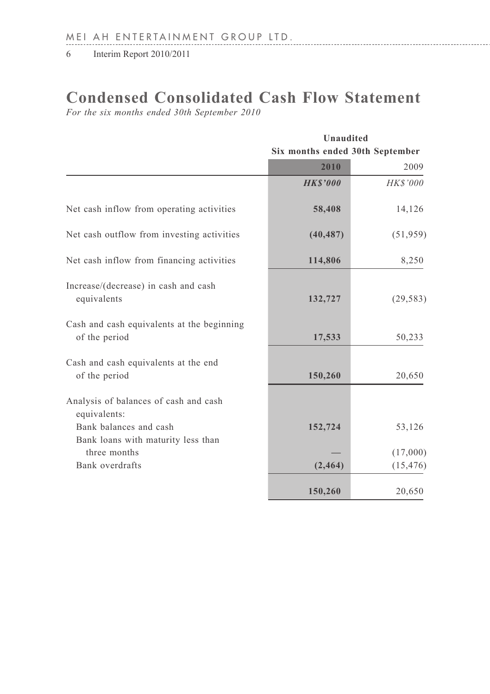# **Condensed Consolidated Cash Flow Statement**

*For the six months ended 30th September 2010*

|                                                                                 |                                 | Unaudited |  |  |  |
|---------------------------------------------------------------------------------|---------------------------------|-----------|--|--|--|
|                                                                                 | Six months ended 30th September |           |  |  |  |
|                                                                                 | 2010                            | 2009      |  |  |  |
|                                                                                 | <b>HKS'000</b>                  | HK\$'000  |  |  |  |
| Net cash inflow from operating activities                                       | 58,408                          | 14,126    |  |  |  |
| Net cash outflow from investing activities                                      | (40, 487)                       | (51, 959) |  |  |  |
| Net cash inflow from financing activities                                       | 114,806                         | 8,250     |  |  |  |
| Increase/(decrease) in cash and cash<br>equivalents                             | 132,727                         | (29, 583) |  |  |  |
| Cash and cash equivalents at the beginning<br>of the period                     | 17,533                          | 50,233    |  |  |  |
| Cash and cash equivalents at the end<br>of the period                           | 150,260                         | 20,650    |  |  |  |
| Analysis of balances of cash and cash<br>equivalents:<br>Bank balances and cash | 152,724                         | 53,126    |  |  |  |
| Bank loans with maturity less than<br>three months                              |                                 | (17,000)  |  |  |  |
| Bank overdrafts                                                                 | (2, 464)                        | (15, 476) |  |  |  |
|                                                                                 | 150,260                         | 20,650    |  |  |  |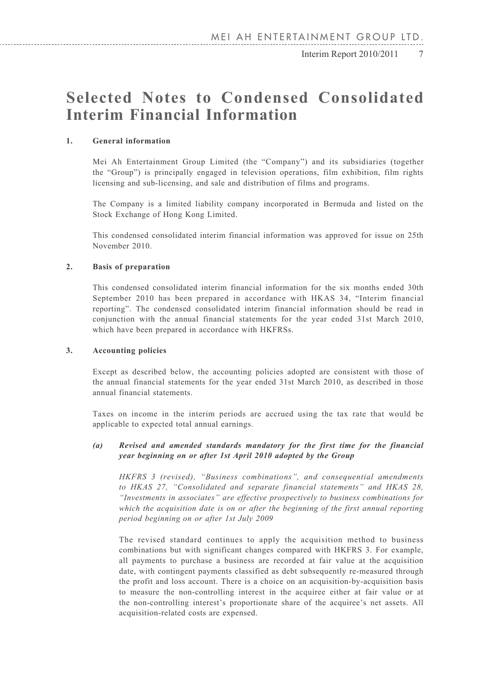6 Interim Report 2010/2011 Interim Report 2010/2011 7

# **Selected Notes to Condensed Consolidated Interim Financial Information**

#### **1. General information**

Mei Ah Entertainment Group Limited (the "Company") and its subsidiaries (together the "Group") is principally engaged in television operations, film exhibition, film rights licensing and sub-licensing, and sale and distribution of films and programs.

The Company is a limited liability company incorporated in Bermuda and listed on the Stock Exchange of Hong Kong Limited.

This condensed consolidated interim financial information was approved for issue on 25th November 2010.

#### **2. Basis of preparation**

This condensed consolidated interim financial information for the six months ended 30th September 2010 has been prepared in accordance with HKAS 34, "Interim financial reporting". The condensed consolidated interim financial information should be read in conjunction with the annual financial statements for the year ended 31st March 2010, which have been prepared in accordance with HKFRSs.

#### **3. Accounting policies**

Except as described below, the accounting policies adopted are consistent with those of the annual financial statements for the year ended 31st March 2010, as described in those annual financial statements.

Taxes on income in the interim periods are accrued using the tax rate that would be applicable to expected total annual earnings.

#### *(a) Revised and amended standards mandatory for the first time for the financial year beginning on or after 1st April 2010 adopted by the Group*

*HKFRS 3 (revised), "Business combinations", and consequential amendments to HKAS 27, "Consolidated and separate financial statements" and HKAS 28, "Investments in associates" are effective prospectively to business combinations for which the acquisition date is on or after the beginning of the first annual reporting period beginning on or after 1st July 2009*

The revised standard continues to apply the acquisition method to business combinations but with significant changes compared with HKFRS 3. For example, all payments to purchase a business are recorded at fair value at the acquisition date, with contingent payments classified as debt subsequently re-measured through the profit and loss account. There is a choice on an acquisition-by-acquisition basis to measure the non-controlling interest in the acquiree either at fair value or at the non-controlling interest's proportionate share of the acquiree's net assets. All acquisition-related costs are expensed.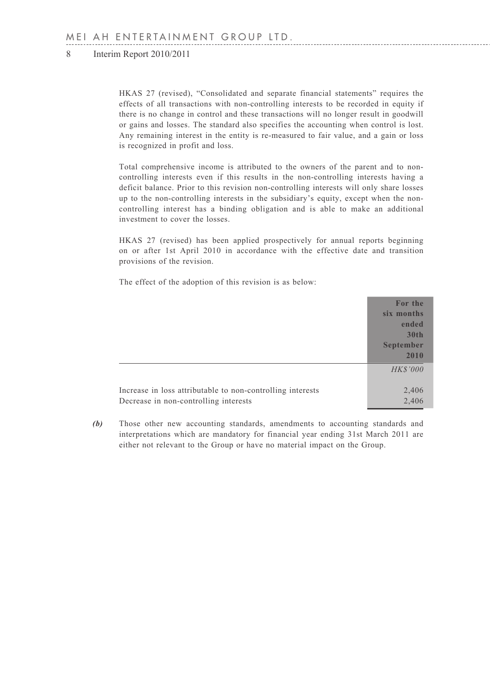HKAS 27 (revised), "Consolidated and separate financial statements" requires the effects of all transactions with non-controlling interests to be recorded in equity if there is no change in control and these transactions will no longer result in goodwill or gains and losses. The standard also specifies the accounting when control is lost. Any remaining interest in the entity is re-measured to fair value, and a gain or loss is recognized in profit and loss.

Total comprehensive income is attributed to the owners of the parent and to noncontrolling interests even if this results in the non-controlling interests having a deficit balance. Prior to this revision non-controlling interests will only share losses up to the non-controlling interests in the subsidiary's equity, except when the noncontrolling interest has a binding obligation and is able to make an additional investment to cover the losses.

HKAS 27 (revised) has been applied prospectively for annual reports beginning on or after 1st April 2010 in accordance with the effective date and transition provisions of the revision.

The effect of the adoption of this revision is as below:

|                                                                                                     | For the<br>six months<br>ended<br>30th<br>September<br>2010 |
|-----------------------------------------------------------------------------------------------------|-------------------------------------------------------------|
|                                                                                                     | <b>HK\$'000</b>                                             |
| Increase in loss attributable to non-controlling interests<br>Decrease in non-controlling interests | 2,406<br>2,406                                              |

*(b)* Those other new accounting standards, amendments to accounting standards and interpretations which are mandatory for financial year ending 31st March 2011 are either not relevant to the Group or have no material impact on the Group.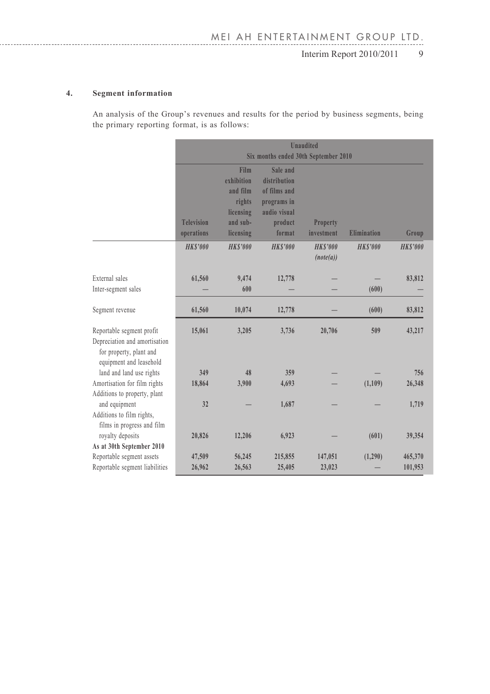#### **4. Segment information**

An analysis of the Group's revenues and results for the period by business segments, being the primary reporting format, is as follows:

|                                                                                                                  | <b>Unaudited</b><br>Six months ended 30th September 2010 |                                                                                |                                                                                              |                             |                |                    |  |
|------------------------------------------------------------------------------------------------------------------|----------------------------------------------------------|--------------------------------------------------------------------------------|----------------------------------------------------------------------------------------------|-----------------------------|----------------|--------------------|--|
|                                                                                                                  | <b>Television</b><br>operations                          | Film<br>exhibition<br>and film<br>rights<br>licensing<br>and sub-<br>licensing | Sale and<br>distribution<br>of films and<br>programs in<br>audio visual<br>product<br>format | Property<br>investment      | Elimination    | Group              |  |
|                                                                                                                  | <b>HKS'000</b>                                           | <b>HKS'000</b>                                                                 | <b>HKS'000</b>                                                                               | <b>HKS'000</b><br>(note(a)) | <b>HKS'000</b> | <b>HKS'000</b>     |  |
| External sales<br>Inter-segment sales                                                                            | 61,560                                                   | 9,474<br>600                                                                   | 12,778                                                                                       |                             | (600)          | 83,812             |  |
| Segment revenue                                                                                                  | 61,560                                                   | 10,074                                                                         | 12,778                                                                                       |                             | (600)          | 83,812             |  |
| Reportable segment profit<br>Depreciation and amortisation<br>for property, plant and<br>equipment and leasehold | 15,061                                                   | 3,205                                                                          | 3,736                                                                                        | 20,706                      | 509            | 43,217             |  |
| land and land use rights                                                                                         | 349                                                      | 48                                                                             | 359                                                                                          |                             |                | 756                |  |
| Amortisation for film rights<br>Additions to property, plant                                                     | 18,864                                                   | 3,900                                                                          | 4,693                                                                                        |                             | (1,109)        | 26,348             |  |
| and equipment<br>Additions to film rights,<br>films in progress and film                                         | 32                                                       |                                                                                | 1,687                                                                                        |                             |                | 1,719              |  |
| royalty deposits<br>As at 30th September 2010                                                                    | 20,826                                                   | 12,206                                                                         | 6,923                                                                                        |                             | (601)          | 39,354             |  |
| Reportable segment assets<br>Reportable segment liabilities                                                      | 47,509<br>26,962                                         | 56,245<br>26,563                                                               | 215,855<br>25,405                                                                            | 147,051<br>23,023           | (1,290)        | 465,370<br>101,953 |  |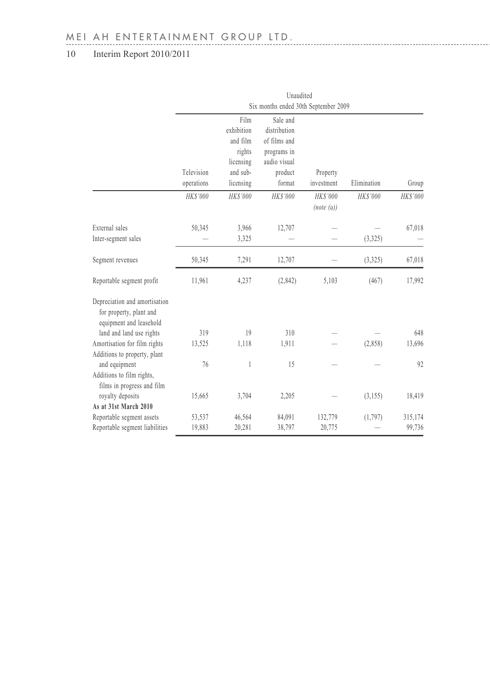|                                                                                     | Unaudited                            |                                |                                          |                       |             |          |  |  |
|-------------------------------------------------------------------------------------|--------------------------------------|--------------------------------|------------------------------------------|-----------------------|-------------|----------|--|--|
|                                                                                     | Six months ended 30th September 2009 |                                |                                          |                       |             |          |  |  |
|                                                                                     |                                      | Film<br>exhibition<br>and film | Sale and<br>distribution<br>of films and |                       |             |          |  |  |
|                                                                                     |                                      | rights                         | programs in                              |                       |             |          |  |  |
|                                                                                     | Television                           | licensing<br>and sub-          | audio visual<br>product                  | Property              |             |          |  |  |
|                                                                                     | operations                           | licensing                      | format                                   | investment            | Elimination | Group    |  |  |
|                                                                                     | HKS'000                              | HK\$'000                       | HK\$'000                                 | HK\$'000<br>(note(a)) | HK\$'000    | HK\$'000 |  |  |
| External sales                                                                      | 50,345                               | 3,966                          | 12,707                                   |                       |             | 67,018   |  |  |
| Inter-segment sales                                                                 |                                      | 3,325                          |                                          |                       | (3,325)     |          |  |  |
| Segment revenues                                                                    | 50,345                               | 7,291                          | 12,707                                   |                       | (3,325)     | 67,018   |  |  |
| Reportable segment profit                                                           | 11,961                               | 4,237                          | (2,842)                                  | 5,103                 | (467)       | 17,992   |  |  |
| Depreciation and amortisation<br>for property, plant and<br>equipment and leasehold |                                      |                                |                                          |                       |             |          |  |  |
| land and land use rights                                                            | 319                                  | 19                             | 310                                      |                       |             | 648      |  |  |
| Amortisation for film rights<br>Additions to property, plant                        | 13,525                               | 1,118                          | 1,911                                    |                       | (2,858)     | 13,696   |  |  |
| and equipment<br>Additions to film rights,<br>films in progress and film            | 76                                   | 1                              | 15                                       |                       |             | 92       |  |  |
| royalty deposits<br>As at 31st March 2010                                           | 15,665                               | 3,704                          | 2,205                                    |                       | (3, 155)    | 18,419   |  |  |
| Reportable segment assets                                                           | 53,537                               | 46,564                         | 84,091                                   | 132,779               | (1,797)     | 315,174  |  |  |
| Reportable segment liabilities                                                      | 19,883                               | 20,281                         | 38,797                                   | 20,775                |             | 99,736   |  |  |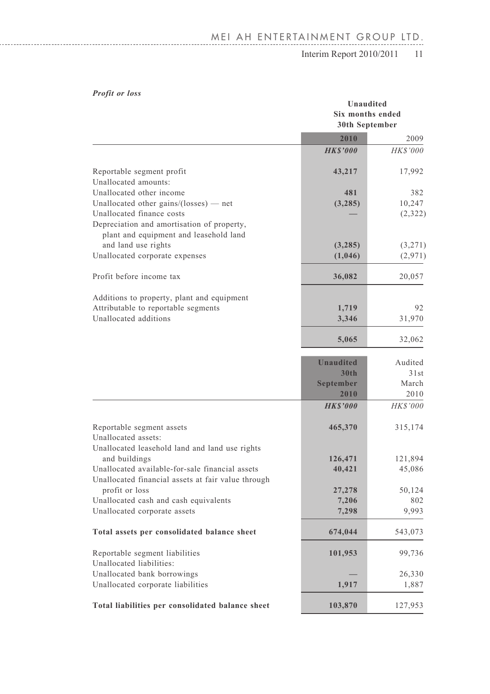# MEI AH ENTERTAINMENT GROUP LTD.

## Interim Report 2010/2011 11

### *Profit or loss*

| 1 I VIII VI IVOO                                                                                                                                                                          |                                               | Unaudited<br>Six months ended<br>30th September |  |  |
|-------------------------------------------------------------------------------------------------------------------------------------------------------------------------------------------|-----------------------------------------------|-------------------------------------------------|--|--|
|                                                                                                                                                                                           | 2010                                          | 2009                                            |  |  |
|                                                                                                                                                                                           | <b>HKS'000</b>                                | HK\$'000                                        |  |  |
| Reportable segment profit<br>Unallocated amounts:                                                                                                                                         | 43,217                                        | 17,992                                          |  |  |
| Unallocated other income<br>Unallocated other gains/(losses) $-$ net<br>Unallocated finance costs<br>Depreciation and amortisation of property,<br>plant and equipment and leasehold land | 481<br>(3, 285)                               | 382<br>10,247<br>(2,322)                        |  |  |
| and land use rights<br>Unallocated corporate expenses                                                                                                                                     | (3,285)<br>(1,046)                            | (3,271)<br>(2,971)                              |  |  |
| Profit before income tax                                                                                                                                                                  | 36,082                                        | 20,057                                          |  |  |
| Additions to property, plant and equipment<br>Attributable to reportable segments<br>Unallocated additions                                                                                | 1,719<br>3,346                                | 92<br>31,970                                    |  |  |
|                                                                                                                                                                                           | 5,065                                         | 32,062                                          |  |  |
|                                                                                                                                                                                           | <b>Unaudited</b><br>30th<br>September<br>2010 | Audited<br>31st<br>March<br>2010                |  |  |
|                                                                                                                                                                                           | <b>HKS'000</b>                                | HK\$'000                                        |  |  |
| Reportable segment assets<br>Unallocated assets:                                                                                                                                          | 465,370                                       | 315,174                                         |  |  |
| Unallocated leasehold land and land use rights<br>and buildings<br>Unallocated available-for-sale financial assets<br>Unallocated financial assets at fair value through                  | 126,471<br>40,421                             | 121,894<br>45,086                               |  |  |
| profit or loss<br>Unallocated cash and cash equivalents<br>Unallocated corporate assets                                                                                                   | 27,278<br>7,206<br>7,298                      | 50,124<br>802<br>9,993                          |  |  |
| Total assets per consolidated balance sheet                                                                                                                                               | 674,044                                       | 543,073                                         |  |  |
| Reportable segment liabilities<br>Unallocated liabilities:                                                                                                                                | 101,953                                       | 99,736                                          |  |  |
| Unallocated bank borrowings<br>Unallocated corporate liabilities                                                                                                                          | 1,917                                         | 26,330<br>1,887                                 |  |  |
| Total liabilities per consolidated balance sheet                                                                                                                                          | 103,870                                       | 127,953                                         |  |  |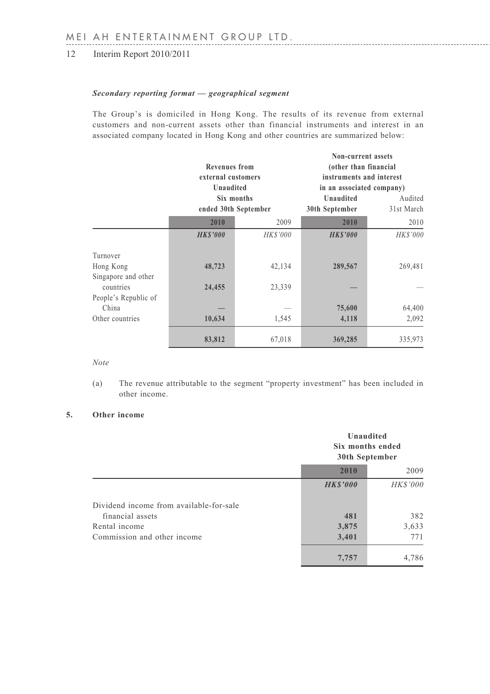### *Secondary reporting format — geographical segment*

The Group's is domiciled in Hong Kong. The results of its revenue from external customers and non-current assets other than financial instruments and interest in an associated company located in Hong Kong and other countries are summarized below:

|                                   | <b>Revenues</b> from<br>external customers<br>Unaudited |            | Non-current assets<br>(other than financial<br>instruments and interest<br>in an associated company) |                       |
|-----------------------------------|---------------------------------------------------------|------------|------------------------------------------------------------------------------------------------------|-----------------------|
|                                   | ended 30th September                                    | Six months | <b>Unaudited</b><br>30th September                                                                   | Audited<br>31st March |
|                                   | 2010                                                    | 2009       | 2010                                                                                                 | 2010                  |
|                                   | <b>HKS'000</b>                                          | HK\$'000   | <b>HKS'000</b>                                                                                       | HK\$'000              |
| Turnover                          |                                                         |            |                                                                                                      |                       |
| Hong Kong<br>Singapore and other  | 48,723                                                  | 42,134     | 289,567                                                                                              | 269,481               |
| countries<br>People's Republic of | 24,455                                                  | 23,339     |                                                                                                      |                       |
| China                             |                                                         |            | 75,600                                                                                               | 64,400                |
| Other countries                   | 10,634                                                  | 1,545      | 4,118                                                                                                | 2,092                 |
|                                   | 83,812                                                  | 67,018     | 369,285                                                                                              | 335,973               |

*Note*

(a) The revenue attributable to the segment "property investment" has been included in other income.

#### **5. Other income**

|                                         |                | Unaudited<br>Six months ended<br>30th September |  |
|-----------------------------------------|----------------|-------------------------------------------------|--|
|                                         | 2010           | 2009                                            |  |
|                                         | <b>HKS'000</b> | <b>HK\$'000</b>                                 |  |
| Dividend income from available-for-sale |                |                                                 |  |
| financial assets                        | 481            | 382                                             |  |
| Rental income                           | 3,875          | 3,633                                           |  |
| Commission and other income             | 3,401          | 771                                             |  |
|                                         | 7,757          | 4,786                                           |  |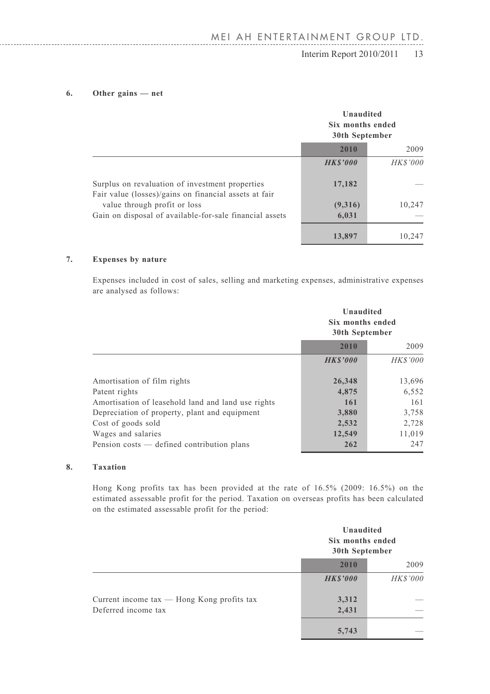### $\text{Interim Report } 2010/2011$  13

### **6. Other gains — net**

|                                                                                                          | Unaudited<br>Six months ended<br>30th September |          |
|----------------------------------------------------------------------------------------------------------|-------------------------------------------------|----------|
|                                                                                                          | 2010                                            | 2009     |
|                                                                                                          | <b>HKS'000</b>                                  | HK\$'000 |
| Surplus on revaluation of investment properties<br>Fair value (losses)/gains on financial assets at fair | 17,182                                          |          |
| value through profit or loss                                                                             | (9,316)                                         | 10,247   |
| Gain on disposal of available-for-sale financial assets                                                  | 6,031                                           |          |
|                                                                                                          | 13,897                                          | 10.247   |

### **7. Expenses by nature**

Expenses included in cost of sales, selling and marketing expenses, administrative expenses are analysed as follows:

|                                                                                                                                                                           | Unaudited<br>Six months ended<br>30th September |                                          |
|---------------------------------------------------------------------------------------------------------------------------------------------------------------------------|-------------------------------------------------|------------------------------------------|
|                                                                                                                                                                           | 2010                                            | 2009                                     |
|                                                                                                                                                                           | <b>HKS'000</b>                                  | HK\$'000                                 |
| Amortisation of film rights<br>Patent rights<br>Amortisation of leasehold land and land use rights<br>Depreciation of property, plant and equipment<br>Cost of goods sold | 26,348<br>4,875<br>161<br>3,880<br>2,532        | 13,696<br>6,552<br>161<br>3,758<br>2,728 |
| Wages and salaries<br>Pension costs — defined contribution plans                                                                                                          | 12,549<br>262                                   | 11,019<br>247                            |

### **8. Taxation**

Hong Kong profits tax has been provided at the rate of 16.5% (2009: 16.5%) on the estimated assessable profit for the period. Taxation on overseas profits has been calculated on the estimated assessable profit for the period:

|                                                                       |                | Unaudited<br>Six months ended<br>30th September |  |
|-----------------------------------------------------------------------|----------------|-------------------------------------------------|--|
|                                                                       | 2010           | 2009                                            |  |
|                                                                       | <b>HKS'000</b> | <b>HK\$'000</b>                                 |  |
| Current income $tax$ — Hong Kong profits $tax$<br>Deferred income tax | 3,312<br>2,431 |                                                 |  |
|                                                                       | 5,743          |                                                 |  |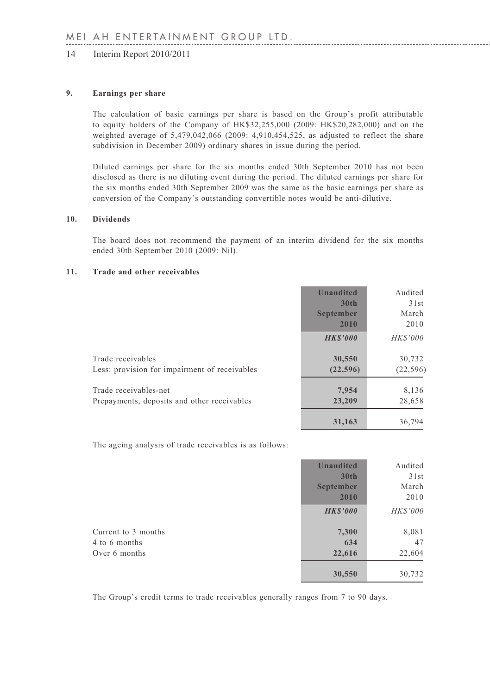#### **9. Earnings per share**

The calculation of basic earnings per share is based on the Group's profit attributable to equity holders of the Company of HK\$32,255,000 (2009: HK\$20,282,000) and on the weighted average of 5,479,042,066 (2009: 4,910,454,525, as adjusted to reflect the share subdivision in December 2009) ordinary shares in issue during the period.

Diluted earnings per share for the six months ended 30th September 2010 has not been disclosed as there is no diluting event during the period. The diluted earnings per share for the six months ended 30th September 2009 was the same as the basic earnings per share as conversion of the Company's outstanding convertible notes would be anti-dilutive.

#### **10. Dividends**

The board does not recommend the payment of an interim dividend for the six months ended 30th September 2010 (2009: Nil).

#### **11. Trade and other receivables**

|                                                                      | <b>Unaudited</b><br>30 <sub>th</sub><br>September<br>2010 | Audited<br>31st<br>March<br>2010 |
|----------------------------------------------------------------------|-----------------------------------------------------------|----------------------------------|
|                                                                      | <b>HKS'000</b>                                            | <b>HK\$'000</b>                  |
| Trade receivables<br>Less: provision for impairment of receivables   | 30,550<br>(22, 596)                                       | 30,732<br>(22, 596)              |
| Trade receivables-net<br>Prepayments, deposits and other receivables | 7.954<br>23,209                                           | 8,136<br>28,658                  |
|                                                                      | 31,163                                                    | 36.794                           |

The ageing analysis of trade receivables is as follows:

|                     | <b>Unaudited</b> | Audited         |
|---------------------|------------------|-----------------|
|                     | 30 <sub>th</sub> | 31st            |
|                     | September        | March           |
|                     | 2010             | 2010            |
|                     | <b>HKS'000</b>   | <b>HK\$'000</b> |
| Current to 3 months | 7,300            | 8,081           |
| 4 to 6 months       | 634              | 47              |
| Over 6 months       | 22,616           | 22,604          |
|                     | 30,550           | 30,732          |

The Group's credit terms to trade receivables generally ranges from 7 to 90 days.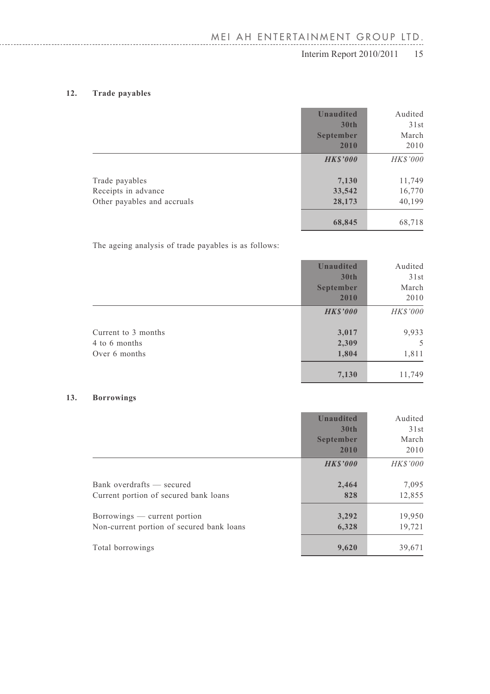### **12. Trade payables**

|                             | <b>Unaudited</b><br>30 <sub>th</sub> | Audited<br>31st |
|-----------------------------|--------------------------------------|-----------------|
|                             | September<br>2010                    | March<br>2010   |
|                             | <b>HKS'000</b>                       | HK\$'000        |
| Trade payables              | 7,130                                | 11,749          |
| Receipts in advance         | 33,542                               | 16,770          |
| Other payables and accruals | 28,173                               | 40,199          |
|                             | 68,845                               | 68,718          |

The ageing analysis of trade payables is as follows:

|                                                       | <b>Unaudited</b><br>30 <sub>th</sub> | Audited<br>31st     |
|-------------------------------------------------------|--------------------------------------|---------------------|
|                                                       | September<br>2010                    | March<br>2010       |
|                                                       | <b>HKS'000</b>                       | HK\$'000            |
| Current to 3 months<br>4 to 6 months<br>Over 6 months | 3,017<br>2,309<br>1,804              | 9,933<br>5<br>1,811 |
|                                                       | 7,130                                | 11,749              |

#### **13. Borrowings**

|                                                                           | <b>Unaudited</b><br>30 <sub>th</sub><br>September<br>2010 | Audited<br>31st<br>March<br>2010 |
|---------------------------------------------------------------------------|-----------------------------------------------------------|----------------------------------|
|                                                                           | <b>HKS'000</b>                                            | <b>HKS'000</b>                   |
| Bank overdrafts — secured<br>Current portion of secured bank loans        | 2,464<br>828                                              | 7,095<br>12,855                  |
| Borrowings — current portion<br>Non-current portion of secured bank loans | 3,292<br>6,328                                            | 19,950<br>19,721                 |
| Total borrowings                                                          | 9,620                                                     | 39,671                           |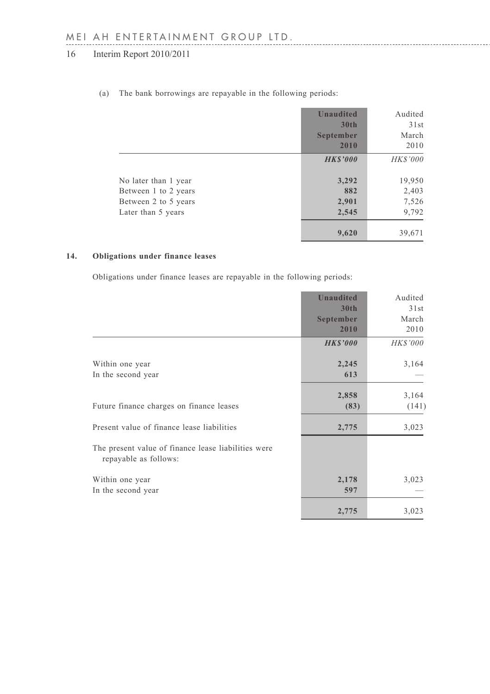|                      | <b>Unaudited</b><br>30 <sub>th</sub><br>September<br>2010 | Audited<br>31st<br>March<br>2010 |
|----------------------|-----------------------------------------------------------|----------------------------------|
|                      | <b>HKS'000</b>                                            | HK\$'000                         |
| No later than 1 year | 3,292                                                     | 19,950                           |
| Between 1 to 2 years | 882                                                       | 2,403                            |
| Between 2 to 5 years | 2,901                                                     | 7,526                            |
| Later than 5 years   | 2,545                                                     | 9,792                            |
|                      | 9,620                                                     | 39,671                           |

(a) The bank borrowings are repayable in the following periods:

#### **14. Obligations under finance leases**

Obligations under finance leases are repayable in the following periods:

|                                                                              | <b>Unaudited</b> | Audited  |
|------------------------------------------------------------------------------|------------------|----------|
|                                                                              | 30 <sub>th</sub> | 31st     |
|                                                                              | September        | March    |
|                                                                              | 2010             | 2010     |
|                                                                              | <b>HKS'000</b>   | HK\$'000 |
| Within one year                                                              | 2,245            | 3,164    |
| In the second year                                                           | 613              |          |
|                                                                              | 2,858            | 3,164    |
| Future finance charges on finance leases                                     | (83)             | (141)    |
| Present value of finance lease liabilities                                   | 2,775            | 3,023    |
| The present value of finance lease liabilities were<br>repayable as follows: |                  |          |
| Within one year<br>In the second year                                        | 2,178<br>597     | 3,023    |
|                                                                              | 2,775            | 3,023    |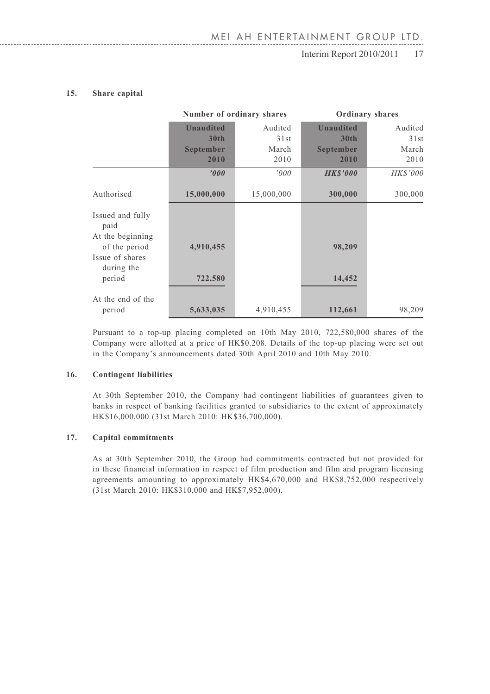## $\frac{1}{16}$  Interim Report 2010/2011 17

#### **15. Share capital**

|                                                      | Number of ordinary shares |            |                  | Ordinary shares |
|------------------------------------------------------|---------------------------|------------|------------------|-----------------|
|                                                      | <b>Unaudited</b>          | Audited    | <b>Unaudited</b> | Audited         |
|                                                      | 30 <sub>th</sub>          | 31st       | 30 <sub>th</sub> | 31st            |
|                                                      | September                 | March      | September        | March           |
|                                                      | 2010                      | 2010       | 2010             | 2010            |
|                                                      | '000'                     | 000'       | <b>HKS'000</b>   | HK\$'000        |
| Authorised                                           | 15,000,000                | 15,000,000 | 300,000          | 300,000         |
| Issued and fully<br>paid                             |                           |            |                  |                 |
| At the beginning<br>of the period<br>Issue of shares | 4,910,455                 |            | 98,209           |                 |
| during the<br>period                                 | 722,580                   |            | 14,452           |                 |
| At the end of the<br>period                          | 5,633,035                 | 4,910,455  | 112,661          | 98,209          |

Pursuant to a top-up placing completed on 10th May 2010, 722,580,000 shares of the Company were allotted at a price of HK\$0.208. Details of the top-up placing were set out in the Company's announcements dated 30th April 2010 and 10th May 2010.

#### **16. Contingent liabilities**

At 30th September 2010, the Company had contingent liabilities of guarantees given to banks in respect of banking facilities granted to subsidiaries to the extent of approximately HK\$16,000,000 (31st March 2010: HK\$36,700,000).

#### **17. Capital commitments**

As at 30th September 2010, the Group had commitments contracted but not provided for in these financial information in respect of film production and film and program licensing agreements amounting to approximately HK\$4,670,000 and HK\$8,752,000 respectively (31st March 2010: HK\$310,000 and HK\$7,952,000).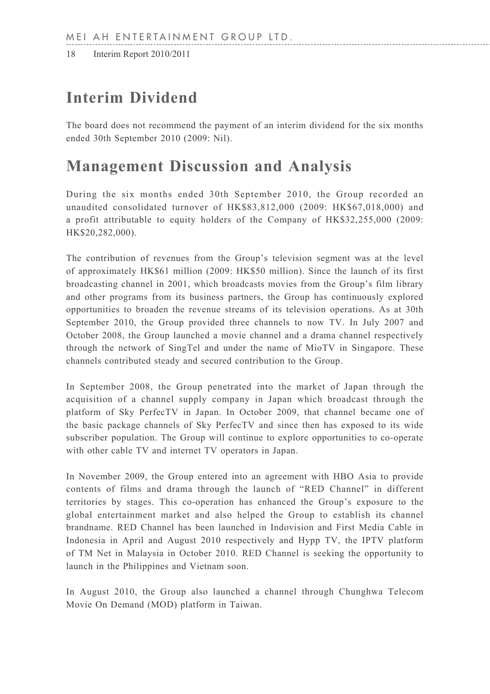# **Interim Dividend**

The board does not recommend the payment of an interim dividend for the six months ended 30th September 2010 (2009: Nil).

# **Management Discussion and Analysis**

During the six months ended 30th September 2010, the Group recorded an unaudited consolidated turnover of HK\$83,812,000 (2009: HK\$67,018,000) and a profit attributable to equity holders of the Company of HK\$32,255,000 (2009: HK\$20,282,000).

The contribution of revenues from the Group's television segment was at the level of approximately HK\$61 million (2009: HK\$50 million). Since the launch of its first broadcasting channel in 2001, which broadcasts movies from the Group's film library and other programs from its business partners, the Group has continuously explored opportunities to broaden the revenue streams of its television operations. As at 30th September 2010, the Group provided three channels to now TV. In July 2007 and October 2008, the Group launched a movie channel and a drama channel respectively through the network of SingTel and under the name of MioTV in Singapore. These channels contributed steady and secured contribution to the Group.

In September 2008, the Group penetrated into the market of Japan through the acquisition of a channel supply company in Japan which broadcast through the platform of Sky PerfecTV in Japan. In October 2009, that channel became one of the basic package channels of Sky PerfecTV and since then has exposed to its wide subscriber population. The Group will continue to explore opportunities to co-operate with other cable TV and internet TV operators in Japan.

In November 2009, the Group entered into an agreement with HBO Asia to provide contents of films and drama through the launch of "RED Channel" in different territories by stages. This co-operation has enhanced the Group's exposure to the global entertainment market and also helped the Group to establish its channel brandname. RED Channel has been launched in Indovision and First Media Cable in Indonesia in April and August 2010 respectively and Hypp TV, the IPTV platform of TM Net in Malaysia in October 2010. RED Channel is seeking the opportunity to launch in the Philippines and Vietnam soon.

In August 2010, the Group also launched a channel through Chunghwa Telecom Movie On Demand (MOD) platform in Taiwan.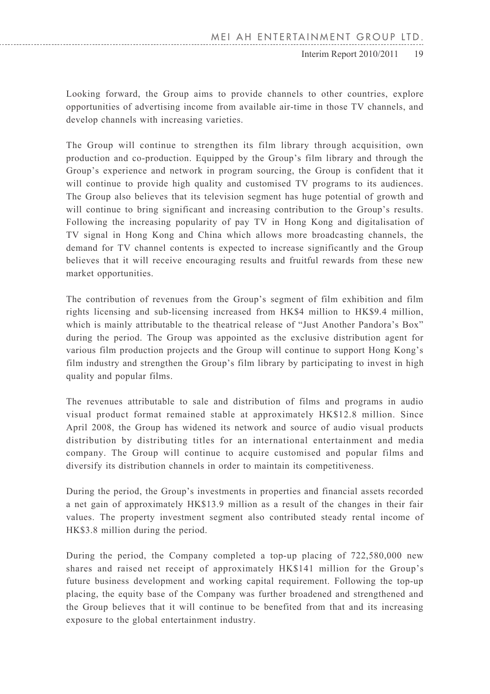### 18 Interim Report 2010/2011 Interim Report 2010/2011 19

Looking forward, the Group aims to provide channels to other countries, explore opportunities of advertising income from available air-time in those TV channels, and develop channels with increasing varieties.

The Group will continue to strengthen its film library through acquisition, own production and co-production. Equipped by the Group's film library and through the Group's experience and network in program sourcing, the Group is confident that it will continue to provide high quality and customised TV programs to its audiences. The Group also believes that its television segment has huge potential of growth and will continue to bring significant and increasing contribution to the Group's results. Following the increasing popularity of pay TV in Hong Kong and digitalisation of TV signal in Hong Kong and China which allows more broadcasting channels, the demand for TV channel contents is expected to increase significantly and the Group believes that it will receive encouraging results and fruitful rewards from these new market opportunities.

The contribution of revenues from the Group's segment of film exhibition and film rights licensing and sub-licensing increased from HK\$4 million to HK\$9.4 million, which is mainly attributable to the theatrical release of "Just Another Pandora's Box" during the period. The Group was appointed as the exclusive distribution agent for various film production projects and the Group will continue to support Hong Kong's film industry and strengthen the Group's film library by participating to invest in high quality and popular films.

The revenues attributable to sale and distribution of films and programs in audio visual product format remained stable at approximately HK\$12.8 million. Since April 2008, the Group has widened its network and source of audio visual products distribution by distributing titles for an international entertainment and media company. The Group will continue to acquire customised and popular films and diversify its distribution channels in order to maintain its competitiveness.

During the period, the Group's investments in properties and financial assets recorded a net gain of approximately HK\$13.9 million as a result of the changes in their fair values. The property investment segment also contributed steady rental income of HK\$3.8 million during the period.

During the period, the Company completed a top-up placing of 722,580,000 new shares and raised net receipt of approximately HK\$141 million for the Group's future business development and working capital requirement. Following the top-up placing, the equity base of the Company was further broadened and strengthened and the Group believes that it will continue to be benefited from that and its increasing exposure to the global entertainment industry.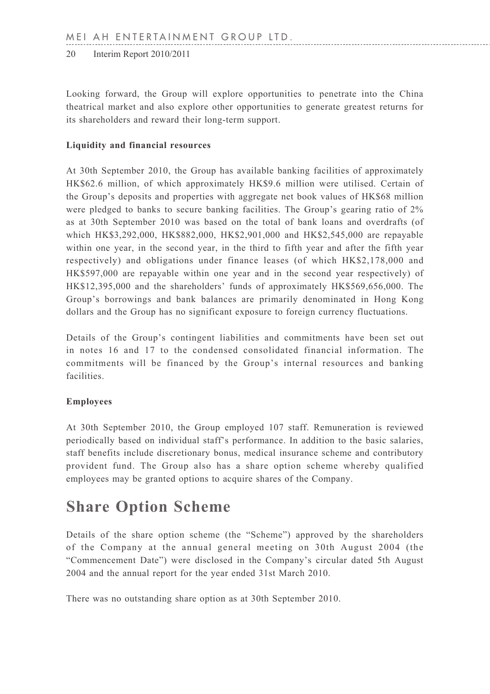Looking forward, the Group will explore opportunities to penetrate into the China theatrical market and also explore other opportunities to generate greatest returns for its shareholders and reward their long-term support.

### **Liquidity and financial resources**

At 30th September 2010, the Group has available banking facilities of approximately HK\$62.6 million, of which approximately HK\$9.6 million were utilised. Certain of the Group's deposits and properties with aggregate net book values of HK\$68 million were pledged to banks to secure banking facilities. The Group's gearing ratio of 2% as at 30th September 2010 was based on the total of bank loans and overdrafts (of which HK\$3,292,000, HK\$882,000, HK\$2,901,000 and HK\$2,545,000 are repayable within one year, in the second year, in the third to fifth year and after the fifth year respectively) and obligations under finance leases (of which HK\$2,178,000 and HK\$597,000 are repayable within one year and in the second year respectively) of HK\$12,395,000 and the shareholders' funds of approximately HK\$569,656,000. The Group's borrowings and bank balances are primarily denominated in Hong Kong dollars and the Group has no significant exposure to foreign currency fluctuations.

Details of the Group's contingent liabilities and commitments have been set out in notes 16 and 17 to the condensed consolidated financial information. The commitments will be financed by the Group's internal resources and banking facilities.

### **Employees**

At 30th September 2010, the Group employed 107 staff. Remuneration is reviewed periodically based on individual staff's performance. In addition to the basic salaries, staff benefits include discretionary bonus, medical insurance scheme and contributory provident fund. The Group also has a share option scheme whereby qualified employees may be granted options to acquire shares of the Company.

# **Share Option Scheme**

Details of the share option scheme (the "Scheme") approved by the shareholders of the Company at the annual general meeting on 30th August 2004 (the "Commencement Date") were disclosed in the Company's circular dated 5th August 2004 and the annual report for the year ended 31st March 2010.

There was no outstanding share option as at 30th September 2010.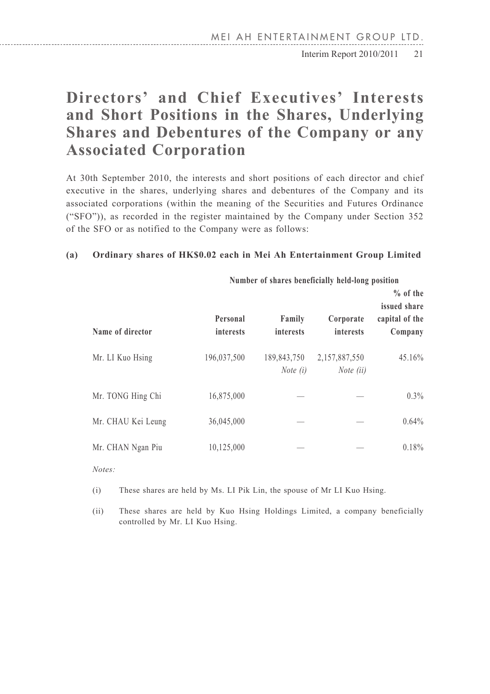$\text{Interim Report } 2010/2011 \quad 21$ 

# **Directors' and Chief Executives' Interests and Short Positions in the Shares, Underlying Shares and Debentures of the Company or any Associated Corporation**

At 30th September 2010, the interests and short positions of each director and chief executive in the shares, underlying shares and debentures of the Company and its associated corporations (within the meaning of the Securities and Futures Ordinance ("SFO")), as recorded in the register maintained by the Company under Section 352 of the SFO or as notified to the Company were as follows:

#### **(a) Ordinary shares of HK\$0.02 each in Mei Ah Entertainment Group Limited**

|                    |                       | <b>NUMBER OF SHALES DEMENTIONS MERCHANGE POSITION</b> |                            |                                                         |  |  |
|--------------------|-----------------------|-------------------------------------------------------|----------------------------|---------------------------------------------------------|--|--|
| Name of director   | Personal<br>interests | Family<br>interests                                   | Corporate<br>interests     | $%$ of the<br>issued share<br>capital of the<br>Company |  |  |
| Mr. LI Kuo Hsing   | 196,037,500           | 189,843,750<br>Note $(i)$                             | 2,157,887,550<br>Note (ii) | 45.16%                                                  |  |  |
| Mr. TONG Hing Chi  | 16,875,000            |                                                       |                            | 0.3%                                                    |  |  |
| Mr. CHAU Kei Leung | 36,045,000            |                                                       |                            | 0.64%                                                   |  |  |
| Mr. CHAN Ngan Piu  | 10,125,000            |                                                       |                            | 0.18%                                                   |  |  |

**Number of shares beneficially held-long position**

*Notes:*

(i) These shares are held by Ms. LI Pik Lin, the spouse of Mr LI Kuo Hsing.

(ii) These shares are held by Kuo Hsing Holdings Limited, a company beneficially controlled by Mr. LI Kuo Hsing.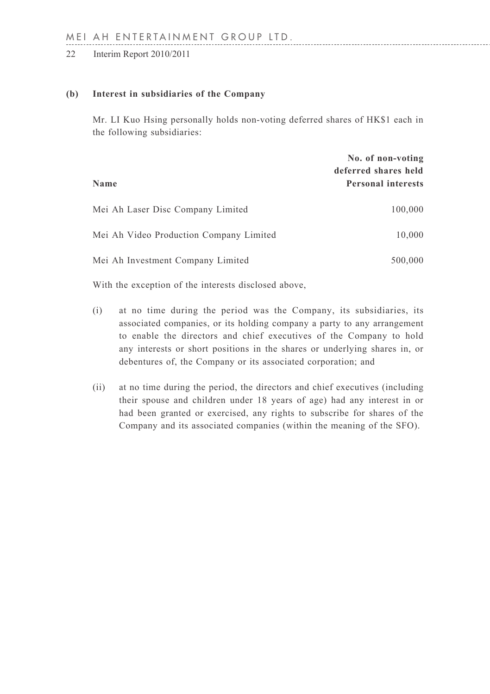#### **(b) Interest in subsidiaries of the Company**

Mr. LI Kuo Hsing personally holds non-voting deferred shares of HK\$1 each in the following subsidiaries:

| Name                                    | No. of non-voting<br>deferred shares held<br><b>Personal interests</b> |
|-----------------------------------------|------------------------------------------------------------------------|
| Mei Ah Laser Disc Company Limited       | 100,000                                                                |
| Mei Ah Video Production Company Limited | 10,000                                                                 |
| Mei Ah Investment Company Limited       | 500,000                                                                |

With the exception of the interests disclosed above,

- (i) at no time during the period was the Company, its subsidiaries, its associated companies, or its holding company a party to any arrangement to enable the directors and chief executives of the Company to hold any interests or short positions in the shares or underlying shares in, or debentures of, the Company or its associated corporation; and
- (ii) at no time during the period, the directors and chief executives (including their spouse and children under 18 years of age) had any interest in or had been granted or exercised, any rights to subscribe for shares of the Company and its associated companies (within the meaning of the SFO).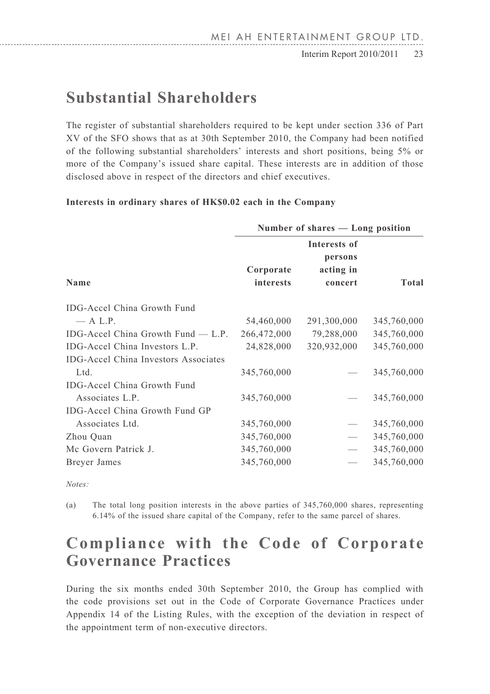$\text{Interim Report } 2010/2011$  23

# **Substantial Shareholders**

The register of substantial shareholders required to be kept under section 336 of Part XV of the SFO shows that as at 30th September 2010, the Company had been notified of the following substantial shareholders' interests and short positions, being 5% or more of the Company's issued share capital. These interests are in addition of those disclosed above in respect of the directors and chief executives.

#### **Interests in ordinary shares of HK\$0.02 each in the Company**

|                                             | Number of shares — Long position |                                                 |             |
|---------------------------------------------|----------------------------------|-------------------------------------------------|-------------|
| Name                                        | Corporate<br>interests           | Interests of<br>persons<br>acting in<br>concert | Total       |
| IDG-Accel China Growth Fund                 |                                  |                                                 |             |
| $-$ A L.P.                                  | 54,460,000                       | 291,300,000                                     | 345,760,000 |
| IDG-Accel China Growth Fund $-$ L.P.        | 266,472,000                      | 79,288,000                                      | 345,760,000 |
| IDG-Accel China Investors L.P.              | 24,828,000                       | 320,932,000                                     | 345,760,000 |
| <b>IDG-Accel China Investors Associates</b> |                                  |                                                 |             |
| Ltd.                                        | 345,760,000                      |                                                 | 345,760,000 |
| IDG-Accel China Growth Fund                 |                                  |                                                 |             |
| Associates L.P.                             | 345,760,000                      |                                                 | 345,760,000 |
| IDG-Accel China Growth Fund GP              |                                  |                                                 |             |
| Associates Ltd.                             | 345,760,000                      |                                                 | 345,760,000 |
| Zhou Quan                                   | 345,760,000                      |                                                 | 345,760,000 |
| Mc Govern Patrick J.                        | 345,760,000                      | $\qquad \qquad$                                 | 345,760,000 |
| Breyer James                                | 345,760,000                      |                                                 | 345,760,000 |
|                                             |                                  |                                                 |             |

*Notes:*

(a) The total long position interests in the above parties of 345,760,000 shares, representing 6.14% of the issued share capital of the Company, refer to the same parcel of shares.

# **Compliance with the Code of Corporate Governance Practices**

During the six months ended 30th September 2010, the Group has complied with the code provisions set out in the Code of Corporate Governance Practices under Appendix 14 of the Listing Rules, with the exception of the deviation in respect of the appointment term of non-executive directors.